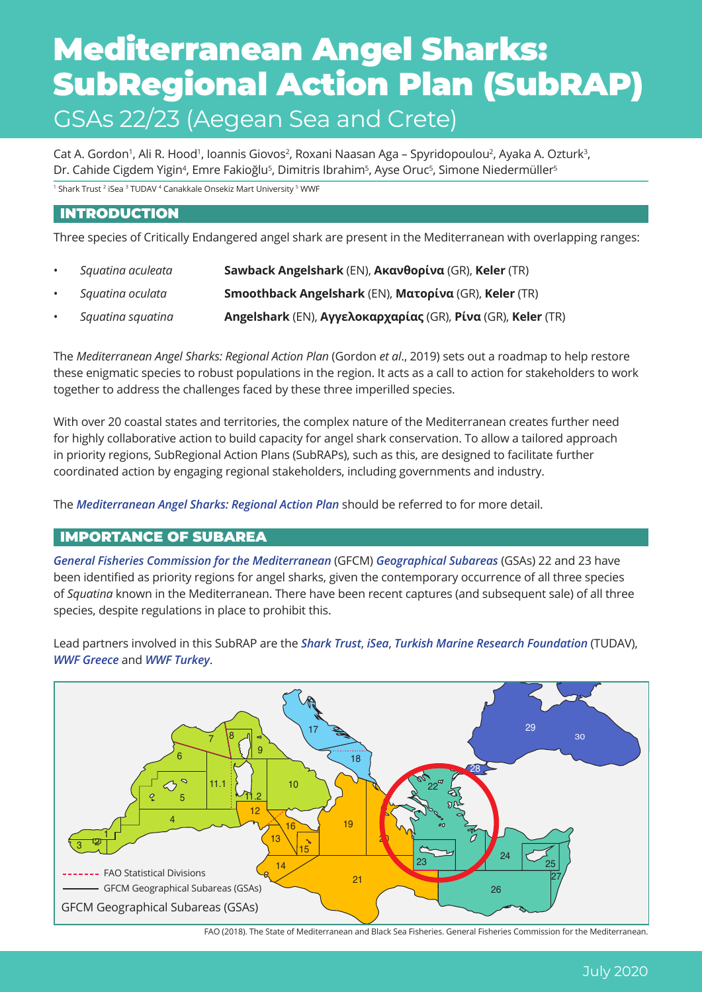# Mediterranean Angel Sharks: SubRegional Action Plan (SubRAP) GSAs 22/23 (Aegean Sea and Crete)

Cat A. Gordon<sup>1</sup>, Ali R. Hood<sup>1</sup>, Ioannis Giovos<sup>2</sup>, Roxani Naasan Aga – Spyridopoulou<sup>2</sup>, Ayaka A. Ozturk<sup>3</sup>, Dr. Cahide Cigdem Yigin<sup>4</sup>, Emre Fakioğlu<sup>5</sup>, Dimitris Ibrahim<sup>5</sup>, Ayse Oruc<sup>5</sup>, Simone Niedermüller<sup>s</sup> <sup>1</sup> Shark Trust <sup>2</sup> iSea <sup>3</sup> TUDAV <sup>4</sup> Canakkale Onsekiz Mart University <sup>5</sup> WWF

## INTRODUCTION

Three species of Critically Endangered angel shark are present in the Mediterranean with overlapping ranges:

• *Squatina aculeata* **Sawback Angelshark** (EN), **Ακανθορίνα** (GR), **Keler** (TR) • *Squatina oculata* **Smoothback Angelshark** (EN), **Ματορίνα** (GR), **Keler** (TR) • *Squatina squatina* **Angelshark** (EN), **Αγγελοκαρχαρίας** (GR), **Ρίνα** (GR), **Keler** (TR)

The *Mediterranean Angel Sharks: Regional Action Plan* (Gordon *et al*., 2019) sets out a roadmap to help restore these enigmatic species to robust populations in the region. It acts as a call to action for stakeholders to work together to address the challenges faced by these three imperilled species.

With over 20 coastal states and territories, the complex nature of the Mediterranean creates further need for highly collaborative action to build capacity for angel shark conservation. To allow a tailored approach in priority regions, SubRegional Action Plans (SubRAPs), such as this, are designed to facilitate further coordinated action by engaging regional stakeholders, including governments and industry.

The *[Mediterranean Angel Sharks: Regional Action Plan](https://angelsharknetwork.com/#action)* should be referred to for more detail.

# IMPORTANCE OF SUBAREA

*[General Fisheries Commission for the Mediterranean](http://www.fao.org/gfcm/en/)* (GFCM) *[Geographical Subareas](http://www.fao.org/gfcm/data/maps/gsas/en/)* (GSAs) 22 and 23 have been identified as priority regions for angel sharks, given the contemporary occurrence of all three species of *Squatina* known in the Mediterranean. There have been recent captures (and subsequent sale) of all three species, despite regulations in place to prohibit this.

Lead partners involved in this SubRAP are the *[Shark Trust](www.sharktrust.org)*, *[iSea](https://isea.com.gr/)*, *[Turkish Marine Research Foundation](http://tudav.org/)* (TUDAV), *[WWF Greece](https://www.wwf.gr/en/)* and *[WWF Turkey](https://www.wwf.org.tr/)*.



FAO (2018). The State of Mediterranean and Black Sea Fisheries. General Fisheries Commission for the Mediterranean.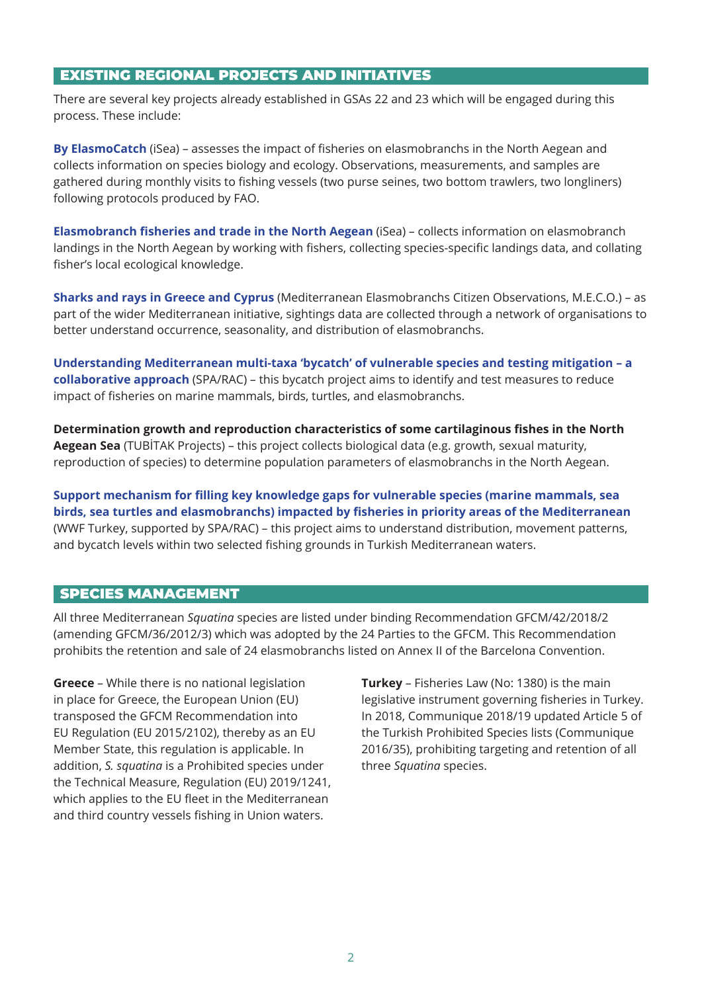## EXISTING REGIONAL PROJECTS AND INITIATIVES

There are several key projects already established in GSAs 22 and 23 which will be engaged during this process. These include:

**[By ElasmoCatch](https://isea.com.gr/by-elasmocatch/?lang=en)** (iSea) – assesses the impact of fisheries on elasmobranchs in the North Aegean and collects information on species biology and ecology. Observations, measurements, and samples are gathered during monthly visits to fishing vessels (two purse seines, two bottom trawlers, two longliners) following protocols produced by FAO.

**[Elasmobranch fisheries and trade in the North Aegea](https://isea.com.gr/activities/programs/fisheries/%CE%BA%CE%B1%CF%84%CE%B1%CE%B3%CF%81%CE%B1%CF%86%CE%AE-%CE%B4%CE%B9%CE%B1%CE%BA%CE%B9%CE%BD%CE%BF%CF%8D%CE%BC%CE%B5%CE%BD%CF%89%CE%BD-%CE%B5%CE%B9%CE%B4%CF%8E%CE%BD-%CE%B5%CE%BB%CE%B1%CF%83%CE%BC/?lang=en)n** (iSea) – collects information on elasmobranch landings in the North Aegean by working with fishers, collecting species-specific landings data, and collating fisher's local ecological knowledge.

**[Sharks and rays in Greece and Cyprus](https://isea.com.gr/activities/programs/fisheries/sharks-and-rays-in-greece-and-cyprus/?lang=en)** (Mediterranean Elasmobranchs Citizen Observations, M.E.C.O.) – as part of the wider Mediterranean initiative, sightings data are collected through a network of organisations to better understand occurrence, seasonality, and distribution of elasmobranchs.

**[Understanding Mediterranean multi-taxa 'bycatch' of vulnerable species and testing mitigation – a](http://www.rac-spa.org/bycatch_pr)  [collaborative approac](http://www.rac-spa.org/bycatch_pr)h** (SPA/RAC) – this bycatch project aims to identify and test measures to reduce impact of fisheries on marine mammals, birds, turtles, and elasmobranchs.

**Determination growth and reproduction characteristics of some cartilaginous fishes in the North Aegean Sea** (TUBİTAK Projects) – this project collects biological data (e.g. growth, sexual maturity, reproduction of species) to determine population parameters of elasmobranchs in the North Aegean.

**[Support mechanism for filling key knowledge gaps for vulnerable species \(marine mammals, sea](https://www.rac-spa.org/species_project)  [birds, sea turtles and elasmobranchs\) impacted by fisheries in priority areas of the Mediterranean](https://www.rac-spa.org/species_project)** (WWF Turkey, supported by SPA/RAC) – this project aims to understand distribution, movement patterns, and bycatch levels within two selected fishing grounds in Turkish Mediterranean waters.

# SPECIES MANAGEMENT

All three Mediterranean *Squatina* species are listed under binding Recommendation GFCM/42/2018/2 (amending GFCM/36/2012/3) which was adopted by the 24 Parties to the GFCM. This Recommendation prohibits the retention and sale of 24 elasmobranchs listed on Annex II of the Barcelona Convention.

**Greece** – While there is no national legislation in place for Greece, the European Union (EU) transposed the GFCM Recommendation into EU Regulation (EU 2015/2102), thereby as an EU Member State, this regulation is applicable. In addition, *S. squatina* is a Prohibited species under the Technical Measure, Regulation (EU) 2019/1241, which applies to the EU fleet in the Mediterranean and third country vessels fishing in Union waters.

**Turkey** – Fisheries Law (No: 1380) is the main legislative instrument governing fisheries in Turkey. In 2018, Communique 2018/19 updated Article 5 of the Turkish Prohibited Species lists (Communique 2016/35), prohibiting targeting and retention of all three *Squatina* species.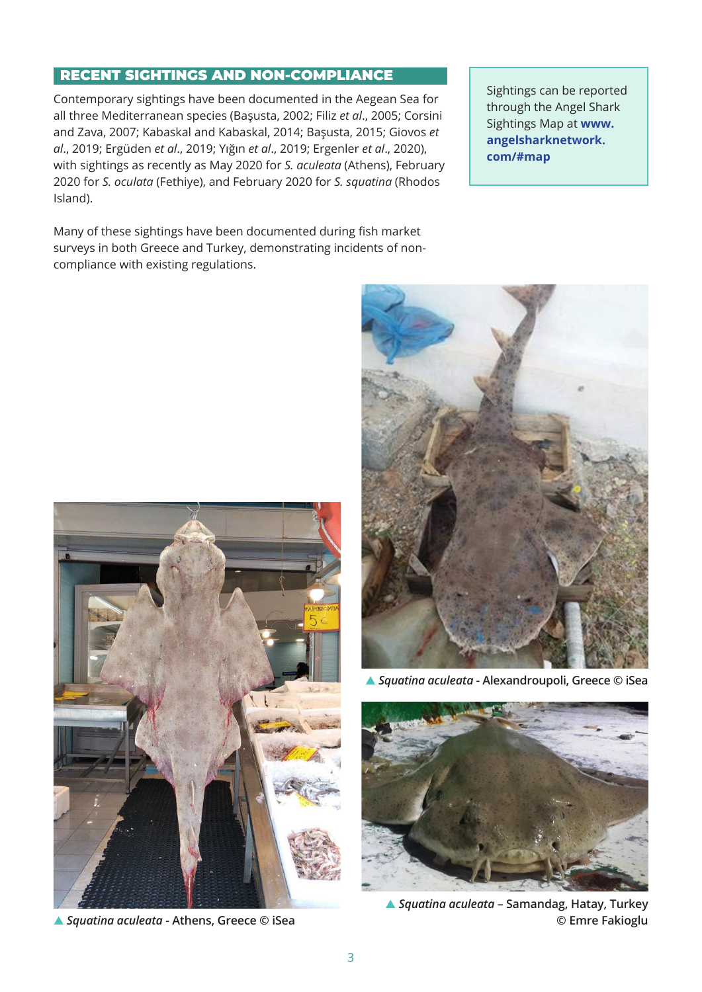## RECENT SIGHTINGS AND NON-COMPLIANCE

Contemporary sightings have been documented in the Aegean Sea for all three Mediterranean species (Başusta, 2002; Filiz *et al*., 2005; Corsini and Zava, 2007; Kabaskal and Kabaskal, 2014; Başusta, 2015; Giovos *et al*., 2019; Ergüden *et al*., 2019; Yığın *et al*., 2019; Ergenler *et al*., 2020), with sightings as recently as May 2020 for *S. aculeata* (Athens), February 2020 for *S. oculata* (Fethiye), and February 2020 for *S. squatina* (Rhodos Island).

Many of these sightings have been documented during fish market surveys in both Greece and Turkey, demonstrating incidents of noncompliance with existing regulations.

Sightings can be reported through the Angel Shark Sightings Map at **[www.](http://www.angelsharknetwork.com/#map) [angelsharknetwork.](http://www.angelsharknetwork.com/#map) [com/#ma](http://www.angelsharknetwork.com/#map)p**





▲ *Squatina aculeata* **- Alexandroupoli, Greece © iSea**



▲ *Squatina aculeata* **– Samandag, Hatay, Turkey**  ▲ *Squatina aculeata* **- Athens, Greece © iSea © Emre Fakioglu**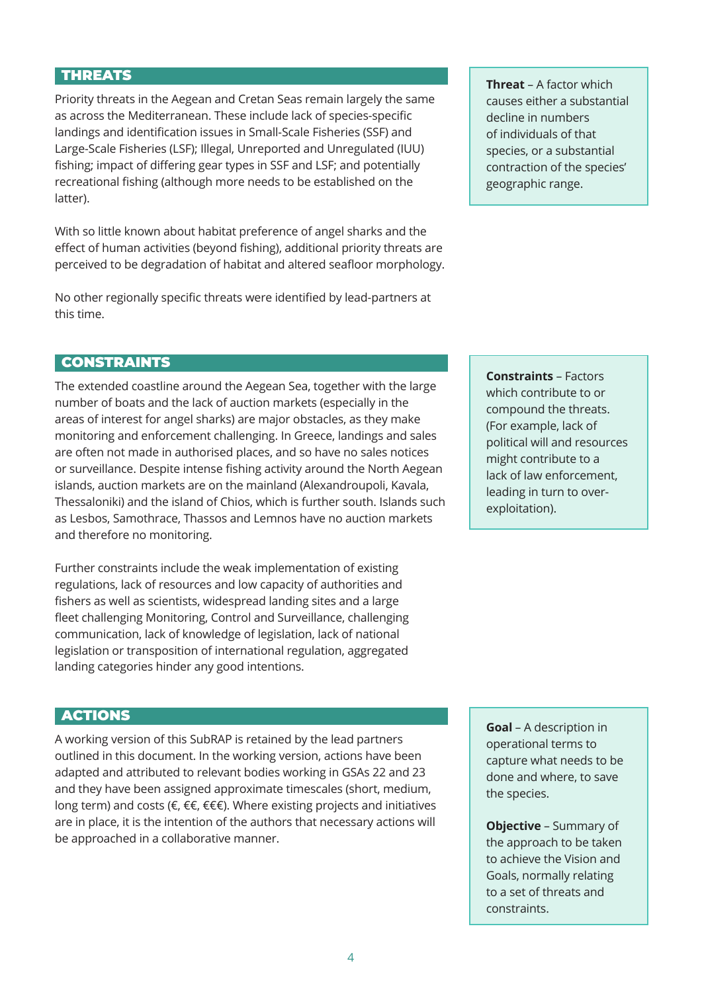## THREATS

Priority threats in the Aegean and Cretan Seas remain largely the same as across the Mediterranean. These include lack of species-specific landings and identification issues in Small-Scale Fisheries (SSF) and Large-Scale Fisheries (LSF); Illegal, Unreported and Unregulated (IUU) fishing; impact of differing gear types in SSF and LSF; and potentially recreational fishing (although more needs to be established on the latter).

With so little known about habitat preference of angel sharks and the effect of human activities (beyond fishing), additional priority threats are perceived to be degradation of habitat and altered seafloor morphology.

No other regionally specific threats were identified by lead-partners at this time.

**Threat** – A factor which causes either a substantial decline in numbers of individuals of that species, or a substantial contraction of the species' geographic range.

## CONSTRAINTS

The extended coastline around the Aegean Sea, together with the large number of boats and the lack of auction markets (especially in the areas of interest for angel sharks) are major obstacles, as they make monitoring and enforcement challenging. In Greece, landings and sales are often not made in authorised places, and so have no sales notices or surveillance. Despite intense fishing activity around the North Aegean islands, auction markets are on the mainland (Alexandroupoli, Kavala, Thessaloniki) and the island of Chios, which is further south. Islands such as Lesbos, Samothrace, Thassos and Lemnos have no auction markets and therefore no monitoring.

Further constraints include the weak implementation of existing regulations, lack of resources and low capacity of authorities and fishers as well as scientists, widespread landing sites and a large fleet challenging Monitoring, Control and Surveillance, challenging communication, lack of knowledge of legislation, lack of national legislation or transposition of international regulation, aggregated landing categories hinder any good intentions.

**Constraints** – Factors which contribute to or compound the threats. (For example, lack of political will and resources might contribute to a lack of law enforcement, leading in turn to overexploitation).

#### ACTIONS

A working version of this SubRAP is retained by the lead partners outlined in this document. In the working version, actions have been adapted and attributed to relevant bodies working in GSAs 22 and 23 and they have been assigned approximate timescales (short, medium, long term) and costs ( $\epsilon$ ,  $\epsilon \in \epsilon$ ,  $\epsilon \in \epsilon$ ). Where existing projects and initiatives are in place, it is the intention of the authors that necessary actions will be approached in a collaborative manner.

**Goal** – A description in operational terms to capture what needs to be done and where, to save the species.

**Objective** – Summary of the approach to be taken to achieve the Vision and Goals, normally relating to a set of threats and constraints.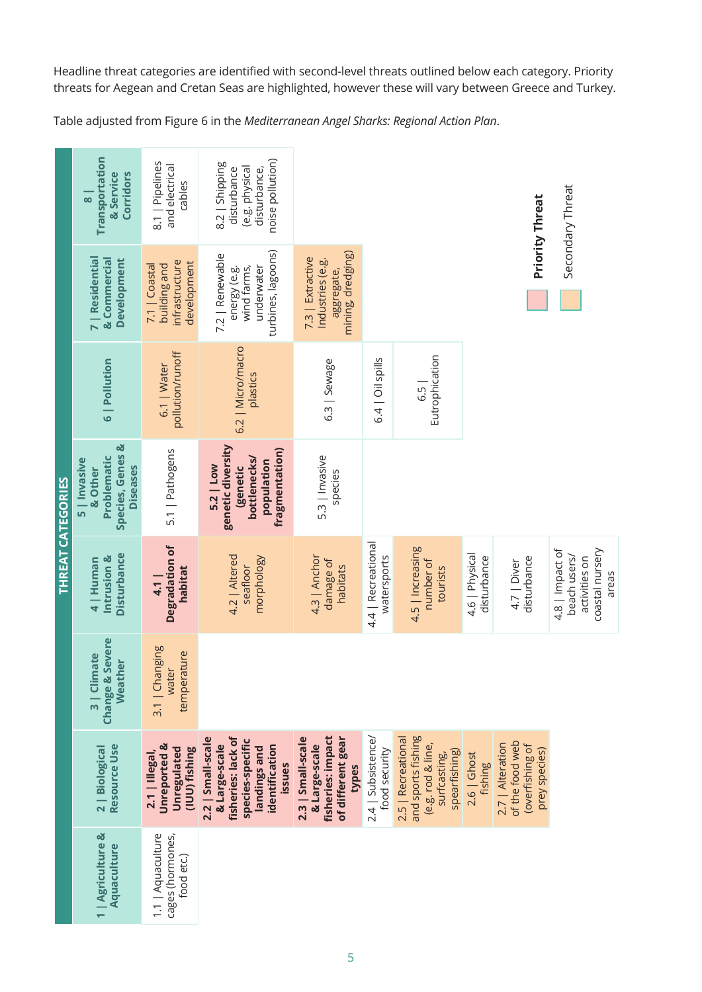Headline threat categories are identified with second-level threats outlined below each category. Priority threats for Aegean and Cretan Seas are highlighted, however these will vary between Greece and Turkey.

Table adjusted from Figure 6 in the *Mediterranean Angel Sharks: Regional Action Plan*.

|                          | Transportation<br>& Service<br><b>Corridors</b><br>$\infty$                   | 8.1   Pipelines<br>and electrical<br>cables                               | noise pollution)<br>8.2   Shipping<br>(e.g. physical<br>disturbance<br>disturbance,                                      |                                                                                       |                                     |                                                                                                |                               | <b>Priority Threat</b>                                                  | Secondary Threat                                                             |
|--------------------------|-------------------------------------------------------------------------------|---------------------------------------------------------------------------|--------------------------------------------------------------------------------------------------------------------------|---------------------------------------------------------------------------------------|-------------------------------------|------------------------------------------------------------------------------------------------|-------------------------------|-------------------------------------------------------------------------|------------------------------------------------------------------------------|
|                          | 7   Residential<br>& Commercial<br><b>Development</b>                         | infrastructure<br>development<br>7.1   Coastal<br>building and            | turbines, lagoons)<br>7.2   Renewable<br>underwater<br>wind farms,<br>energy (e.g.                                       | mining, dredging)<br>7.3   Extractive<br>Industries (e.g.<br>aggregate,               |                                     |                                                                                                |                               |                                                                         |                                                                              |
|                          | 6   Pollution                                                                 | pollution/runoff<br>6.1   Water                                           | 6.2   Micro/macro<br>plastics                                                                                            | 6.3   Sewage                                                                          | 6.4   Oil spills                    | Eutrophication<br>6.5                                                                          |                               |                                                                         |                                                                              |
|                          | Species, Genes &<br>Problematic<br>5   Invasive<br><b>Diseases</b><br>& Other | 5.1   Pathogens                                                           | genetic diversity<br>fragmentation)<br>bottlenecks/<br>population<br>5.2   Low<br>(genetic                               | 5.3   Invasive<br>species                                                             |                                     |                                                                                                |                               |                                                                         |                                                                              |
| <b>THREAT CATEGORIES</b> | <b>Disturbance</b><br>Intrusion &<br>4   Human                                | <b>Degradation of</b><br>habitat<br>$-4.1$                                | 4.2   Altered<br>morphology<br>seafloor                                                                                  | 4.3   Anchor<br>damage of<br>habitats                                                 | 4.4   Recreational<br>watersports   | 4.5   Increasing<br>number of<br>tourists                                                      | 4.6   Physical<br>disturbance | disturbance<br>4.7   Diver                                              | coastal nursery<br>4.8   Impact of<br>beach users/<br>activities on<br>areas |
|                          | <b>Change &amp; Severe</b><br>3   Climate<br>Weather                          | 3.1   Changing<br>temperature<br>water                                    |                                                                                                                          |                                                                                       |                                     |                                                                                                |                               |                                                                         |                                                                              |
|                          | Resource Use<br>2   Biological                                                | <b>Unreported &amp;</b><br>Unregulated<br>(IUU) fishing<br>2.1   Illegal, | fisheries: lack of<br>2.2   Small-scale<br>species-specific<br>& Large-scale<br>identification<br>landings and<br>issues | fisheries: impact<br>of different gear<br>2.3   Small-scale<br>& Large-scale<br>types | 2.4   Subsistence/<br>food security | and sports fishing<br>2.5   Recreational<br>(e.g. rod & line,<br>spearfishing)<br>surfcasting, | 2.6   Ghost<br>fishing        | of the food web<br>2.7   Alteration<br>(overfishing of<br>prey species) |                                                                              |
|                          | 1   Agriculture &<br>Aquaculture                                              | cages (hormones,<br>1.1   Aquaculture<br>food etc.)                       |                                                                                                                          |                                                                                       |                                     |                                                                                                |                               |                                                                         |                                                                              |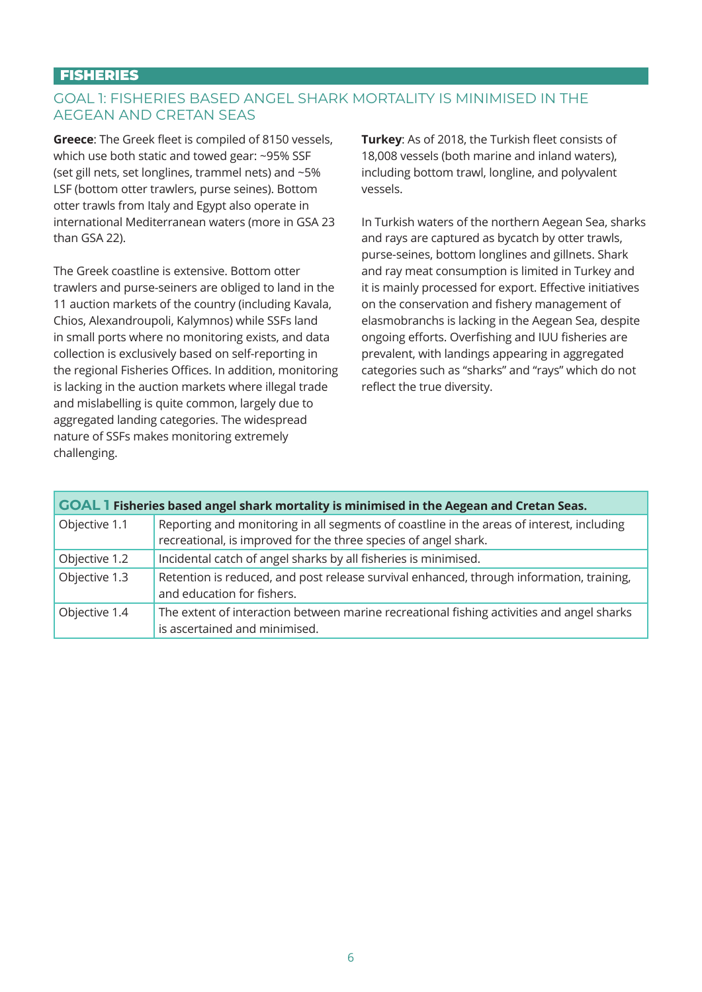## **FISHERIES**

# GOAL 1: FISHERIES BASED ANGEL SHARK MORTALITY IS MINIMISED IN THE AEGEAN AND CRETAN SEAS

**Greece**: The Greek fleet is compiled of 8150 vessels, which use both static and towed gear: ~95% SSF (set gill nets, set longlines, trammel nets) and ~5% LSF (bottom otter trawlers, purse seines). Bottom otter trawls from Italy and Egypt also operate in international Mediterranean waters (more in GSA 23 than GSA 22).

The Greek coastline is extensive. Bottom otter trawlers and purse-seiners are obliged to land in the 11 auction markets of the country (including Kavala, Chios, Alexandroupoli, Kalymnos) while SSFs land in small ports where no monitoring exists, and data collection is exclusively based on self-reporting in the regional Fisheries Offices. In addition, monitoring is lacking in the auction markets where illegal trade and mislabelling is quite common, largely due to aggregated landing categories. The widespread nature of SSFs makes monitoring extremely challenging.

**Turkey**: As of 2018, the Turkish fleet consists of 18,008 vessels (both marine and inland waters), including bottom trawl, longline, and polyvalent vessels.

In Turkish waters of the northern Aegean Sea, sharks and rays are captured as bycatch by otter trawls, purse-seines, bottom longlines and gillnets. Shark and ray meat consumption is limited in Turkey and it is mainly processed for export. Effective initiatives on the conservation and fishery management of elasmobranchs is lacking in the Aegean Sea, despite ongoing efforts. Overfishing and IUU fisheries are prevalent, with landings appearing in aggregated categories such as "sharks" and "rays" which do not reflect the true diversity.

| <b>COAL 1 Fisheries based angel shark mortality is minimised in the Aegean and Cretan Seas.</b> |                                                                                                                                                              |  |  |  |
|-------------------------------------------------------------------------------------------------|--------------------------------------------------------------------------------------------------------------------------------------------------------------|--|--|--|
| Objective 1.1                                                                                   | Reporting and monitoring in all segments of coastline in the areas of interest, including<br>recreational, is improved for the three species of angel shark. |  |  |  |
| Objective 1.2                                                                                   | Incidental catch of angel sharks by all fisheries is minimised.                                                                                              |  |  |  |
| Objective 1.3                                                                                   | Retention is reduced, and post release survival enhanced, through information, training,<br>and education for fishers.                                       |  |  |  |
| Objective 1.4                                                                                   | The extent of interaction between marine recreational fishing activities and angel sharks<br>is ascertained and minimised.                                   |  |  |  |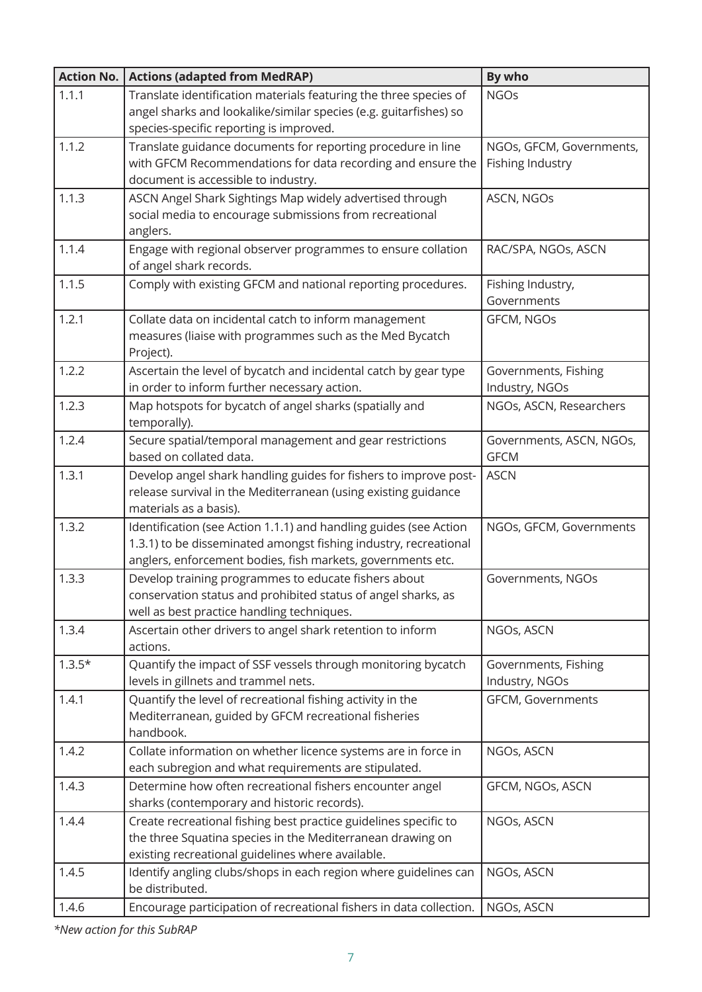| <b>Action No.</b> | <b>Actions (adapted from MedRAP)</b>                                                                                   | By who                   |  |  |
|-------------------|------------------------------------------------------------------------------------------------------------------------|--------------------------|--|--|
| 1.1.1             | Translate identification materials featuring the three species of                                                      | <b>NGOs</b>              |  |  |
|                   | angel sharks and lookalike/similar species (e.g. guitarfishes) so                                                      |                          |  |  |
|                   | species-specific reporting is improved.                                                                                |                          |  |  |
| 1.1.2             | Translate guidance documents for reporting procedure in line                                                           | NGOs, GFCM, Governments, |  |  |
|                   | with GFCM Recommendations for data recording and ensure the                                                            | Fishing Industry         |  |  |
|                   | document is accessible to industry.                                                                                    |                          |  |  |
| 1.1.3             | ASCN Angel Shark Sightings Map widely advertised through<br>social media to encourage submissions from recreational    | ASCN, NGOs               |  |  |
|                   | anglers.                                                                                                               |                          |  |  |
| 1.1.4             | Engage with regional observer programmes to ensure collation                                                           | RAC/SPA, NGOs, ASCN      |  |  |
|                   | of angel shark records.                                                                                                |                          |  |  |
| 1.1.5             | Comply with existing GFCM and national reporting procedures.                                                           | Fishing Industry,        |  |  |
|                   |                                                                                                                        | Governments              |  |  |
| 1.2.1             | Collate data on incidental catch to inform management                                                                  | GFCM, NGOs               |  |  |
|                   | measures (liaise with programmes such as the Med Bycatch                                                               |                          |  |  |
|                   | Project).                                                                                                              |                          |  |  |
| 1.2.2             | Ascertain the level of bycatch and incidental catch by gear type                                                       | Governments, Fishing     |  |  |
|                   | in order to inform further necessary action.                                                                           | Industry, NGOs           |  |  |
| 1.2.3             | Map hotspots for bycatch of angel sharks (spatially and<br>temporally).                                                | NGOs, ASCN, Researchers  |  |  |
| 1.2.4             | Secure spatial/temporal management and gear restrictions                                                               | Governments, ASCN, NGOs, |  |  |
|                   | based on collated data.                                                                                                | <b>GFCM</b>              |  |  |
| 1.3.1             | Develop angel shark handling guides for fishers to improve post-                                                       | <b>ASCN</b>              |  |  |
|                   | release survival in the Mediterranean (using existing guidance                                                         |                          |  |  |
|                   | materials as a basis).                                                                                                 |                          |  |  |
| 1.3.2             | Identification (see Action 1.1.1) and handling guides (see Action                                                      | NGOs, GFCM, Governments  |  |  |
|                   | 1.3.1) to be disseminated amongst fishing industry, recreational                                                       |                          |  |  |
| 1.3.3             | anglers, enforcement bodies, fish markets, governments etc.                                                            |                          |  |  |
|                   | Develop training programmes to educate fishers about<br>conservation status and prohibited status of angel sharks, as  | Governments, NGOs        |  |  |
|                   | well as best practice handling techniques.                                                                             |                          |  |  |
| 1.3.4             | Ascertain other drivers to angel shark retention to inform                                                             | NGOs, ASCN               |  |  |
|                   | actions.                                                                                                               |                          |  |  |
| $1.3.5*$          | Quantify the impact of SSF vessels through monitoring bycatch                                                          | Governments, Fishing     |  |  |
|                   | levels in gillnets and trammel nets.                                                                                   | Industry, NGOs           |  |  |
| 1.4.1             | Quantify the level of recreational fishing activity in the                                                             | GFCM, Governments        |  |  |
|                   | Mediterranean, guided by GFCM recreational fisheries                                                                   |                          |  |  |
|                   | handbook.                                                                                                              |                          |  |  |
| 1.4.2             | Collate information on whether licence systems are in force in<br>each subregion and what requirements are stipulated. | NGOs, ASCN               |  |  |
| 1.4.3             | Determine how often recreational fishers encounter angel                                                               | GFCM, NGOs, ASCN         |  |  |
|                   | sharks (contemporary and historic records).                                                                            |                          |  |  |
| 1.4.4             | Create recreational fishing best practice guidelines specific to                                                       | NGOs, ASCN               |  |  |
|                   | the three Squatina species in the Mediterranean drawing on                                                             |                          |  |  |
|                   | existing recreational guidelines where available.                                                                      |                          |  |  |
| 1.4.5             | Identify angling clubs/shops in each region where guidelines can<br>be distributed.                                    | NGOs, ASCN               |  |  |
| 1.4.6             | Encourage participation of recreational fishers in data collection.                                                    | NGOs, ASCN               |  |  |

*\*New action for this SubRAP*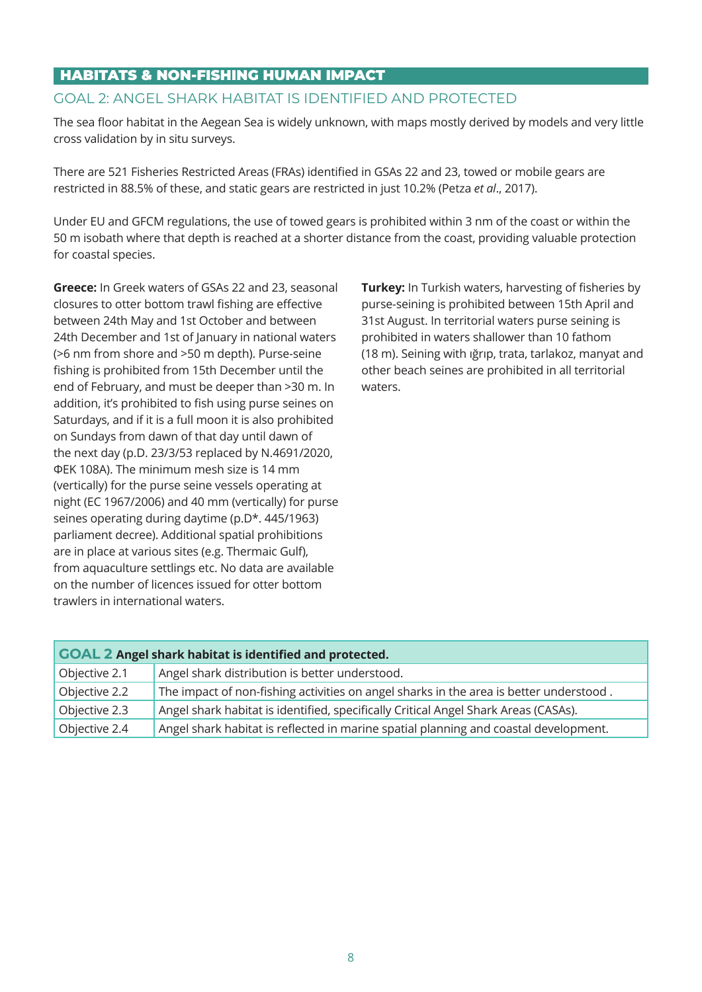# HABITATS & NON-FISHING HUMAN IMPACT

## GOAL 2: ANGEL SHARK HABITAT IS IDENTIFIED AND PROTECTED

The sea floor habitat in the Aegean Sea is widely unknown, with maps mostly derived by models and very little cross validation by in situ surveys.

There are 521 Fisheries Restricted Areas (FRAs) identified in GSAs 22 and 23, towed or mobile gears are restricted in 88.5% of these, and static gears are restricted in just 10.2% (Petza *et al*., 2017).

Under EU and GFCM regulations, the use of towed gears is prohibited within 3 nm of the coast or within the 50 m isobath where that depth is reached at a shorter distance from the coast, providing valuable protection for coastal species.

**Greece:** In Greek waters of GSAs 22 and 23, seasonal closures to otter bottom trawl fishing are effective between 24th May and 1st October and between 24th December and 1st of January in national waters (>6 nm from shore and >50 m depth). Purse-seine fishing is prohibited from 15th December until the end of February, and must be deeper than >30 m. In addition, it's prohibited to fish using purse seines on Saturdays, and if it is a full moon it is also prohibited on Sundays from dawn of that day until dawn of the next day (p.D. 23/3/53 replaced by Ν.4691/2020, ΦΕΚ 108Α). The minimum mesh size is 14 mm (vertically) for the purse seine vessels operating at night (EC 1967/2006) and 40 mm (vertically) for purse seines operating during daytime (p.D\*. 445/1963) parliament decree). Additional spatial prohibitions are in place at various sites (e.g. Thermaic Gulf), from aquaculture settlings etc. No data are available on the number of licences issued for otter bottom trawlers in international waters.

**Turkey:** In Turkish waters, harvesting of fisheries by purse-seining is prohibited between 15th April and 31st August. In territorial waters purse seining is prohibited in waters shallower than 10 fathom (18 m). Seining with ığrıp, trata, tarlakoz, manyat and other beach seines are prohibited in all territorial waters.

| <b>GOAL 2 Angel shark habitat is identified and protected.</b> |                                                                                        |  |  |  |
|----------------------------------------------------------------|----------------------------------------------------------------------------------------|--|--|--|
| Objective 2.1                                                  | Angel shark distribution is better understood.                                         |  |  |  |
| Objective 2.2                                                  | The impact of non-fishing activities on angel sharks in the area is better understood. |  |  |  |
| Objective 2.3                                                  | Angel shark habitat is identified, specifically Critical Angel Shark Areas (CASAs).    |  |  |  |
| Objective 2.4                                                  | Angel shark habitat is reflected in marine spatial planning and coastal development.   |  |  |  |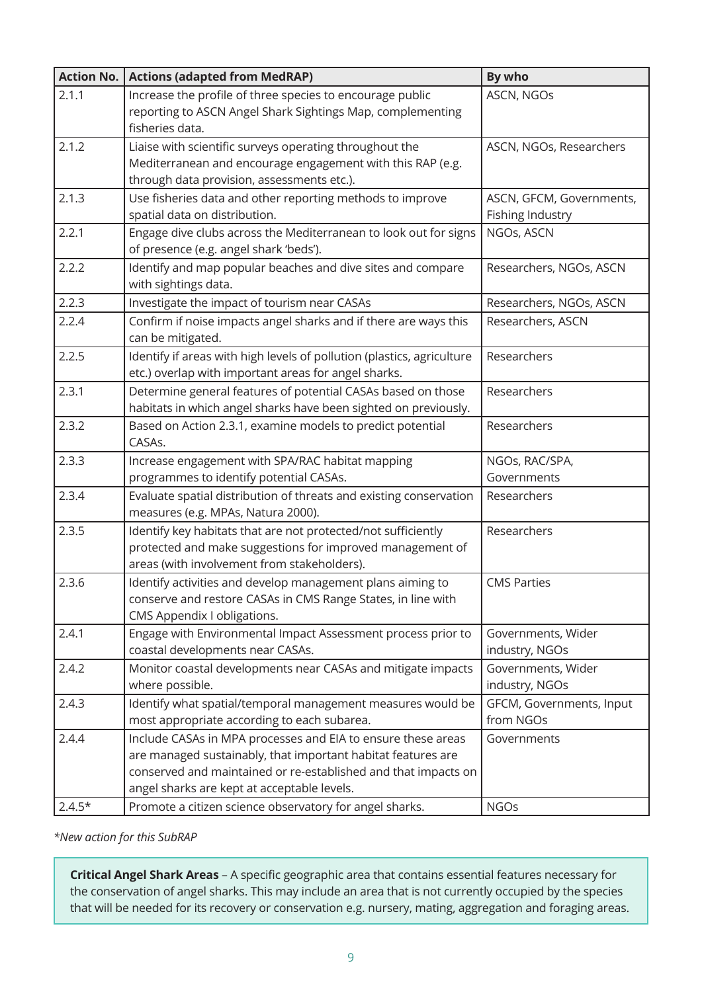| <b>Action No.</b> | <b>Actions (adapted from MedRAP)</b>                                                                                                                                                                                                          | By who                                       |  |  |
|-------------------|-----------------------------------------------------------------------------------------------------------------------------------------------------------------------------------------------------------------------------------------------|----------------------------------------------|--|--|
| 2.1.1             | Increase the profile of three species to encourage public<br>reporting to ASCN Angel Shark Sightings Map, complementing<br>fisheries data.                                                                                                    | ASCN, NGOs                                   |  |  |
| 2.1.2             | Liaise with scientific surveys operating throughout the<br>Mediterranean and encourage engagement with this RAP (e.g.<br>through data provision, assessments etc.).                                                                           | ASCN, NGOs, Researchers                      |  |  |
| 2.1.3             | Use fisheries data and other reporting methods to improve<br>spatial data on distribution.                                                                                                                                                    | ASCN, GFCM, Governments,<br>Fishing Industry |  |  |
| 2.2.1             | Engage dive clubs across the Mediterranean to look out for signs<br>of presence (e.g. angel shark 'beds').                                                                                                                                    | NGOs, ASCN                                   |  |  |
| 2.2.2             | Identify and map popular beaches and dive sites and compare<br>with sightings data.                                                                                                                                                           | Researchers, NGOs, ASCN                      |  |  |
| 2.2.3             | Investigate the impact of tourism near CASAs                                                                                                                                                                                                  | Researchers, NGOs, ASCN                      |  |  |
| 2.2.4             | Confirm if noise impacts angel sharks and if there are ways this<br>can be mitigated.                                                                                                                                                         | Researchers, ASCN                            |  |  |
| 2.2.5             | Identify if areas with high levels of pollution (plastics, agriculture<br>etc.) overlap with important areas for angel sharks.                                                                                                                | Researchers                                  |  |  |
| 2.3.1             | Determine general features of potential CASAs based on those<br>habitats in which angel sharks have been sighted on previously.                                                                                                               | Researchers                                  |  |  |
| 2.3.2             | Based on Action 2.3.1, examine models to predict potential<br>CASAs.                                                                                                                                                                          | Researchers                                  |  |  |
| 2.3.3             | Increase engagement with SPA/RAC habitat mapping<br>programmes to identify potential CASAs.                                                                                                                                                   | NGOs, RAC/SPA,<br>Governments                |  |  |
| 2.3.4             | Evaluate spatial distribution of threats and existing conservation                                                                                                                                                                            | Researchers                                  |  |  |
|                   | measures (e.g. MPAs, Natura 2000).                                                                                                                                                                                                            |                                              |  |  |
| 2.3.5             | Identify key habitats that are not protected/not sufficiently<br>protected and make suggestions for improved management of<br>areas (with involvement from stakeholders).                                                                     | Researchers                                  |  |  |
| 2.3.6             | Identify activities and develop management plans aiming to<br>conserve and restore CASAs in CMS Range States, in line with<br>CMS Appendix I obligations.                                                                                     | <b>CMS Parties</b>                           |  |  |
| 2.4.1             | Engage with Environmental Impact Assessment process prior to<br>coastal developments near CASAs.                                                                                                                                              | Governments, Wider<br>industry, NGOs         |  |  |
| 2.4.2             | Monitor coastal developments near CASAs and mitigate impacts<br>where possible.                                                                                                                                                               | Governments, Wider<br>industry, NGOs         |  |  |
| 2.4.3             | Identify what spatial/temporal management measures would be<br>most appropriate according to each subarea.                                                                                                                                    | GFCM, Governments, Input<br>from NGOs        |  |  |
| 2.4.4             | Include CASAs in MPA processes and EIA to ensure these areas<br>are managed sustainably, that important habitat features are<br>conserved and maintained or re-established and that impacts on<br>angel sharks are kept at acceptable levels. | Governments                                  |  |  |
| $2.4.5*$          | Promote a citizen science observatory for angel sharks.                                                                                                                                                                                       | <b>NGOs</b>                                  |  |  |

*\*New action for this SubRAP*

**Critical Angel Shark Areas** – A specific geographic area that contains essential features necessary for the conservation of angel sharks. This may include an area that is not currently occupied by the species that will be needed for its recovery or conservation e.g. nursery, mating, aggregation and foraging areas.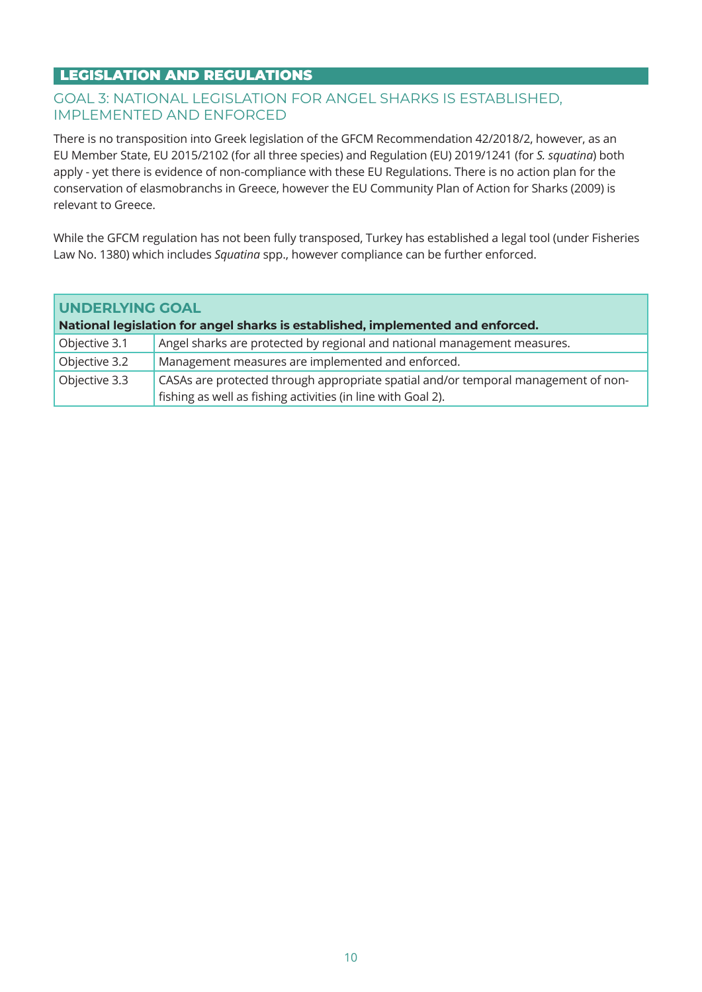# LEGISLATION AND REGULATIONS

# GOAL 3: NATIONAL LEGISLATION FOR ANGEL SHARKS IS ESTABLISHED, IMPLEMENTED AND ENFORCED

There is no transposition into Greek legislation of the GFCM Recommendation 42/2018/2, however, as an EU Member State, EU 2015/2102 (for all three species) and Regulation (EU) 2019/1241 (for *S. squatina*) both apply - yet there is evidence of non-compliance with these EU Regulations. There is no action plan for the conservation of elasmobranchs in Greece, however the EU Community Plan of Action for Sharks (2009) is relevant to Greece.

While the GFCM regulation has not been fully transposed, Turkey has established a legal tool (under Fisheries Law No. 1380) which includes *Squatina* spp., however compliance can be further enforced.

| UNDERLYING GOAL<br>National legislation for angel sharks is established, implemented and enforced.                                                                  |                                                                          |  |  |  |
|---------------------------------------------------------------------------------------------------------------------------------------------------------------------|--------------------------------------------------------------------------|--|--|--|
| Objective 3.1                                                                                                                                                       | Angel sharks are protected by regional and national management measures. |  |  |  |
| Objective 3.2                                                                                                                                                       | Management measures are implemented and enforced.                        |  |  |  |
| Objective 3.3<br>CASAs are protected through appropriate spatial and/or temporal management of non-<br>fishing as well as fishing activities (in line with Goal 2). |                                                                          |  |  |  |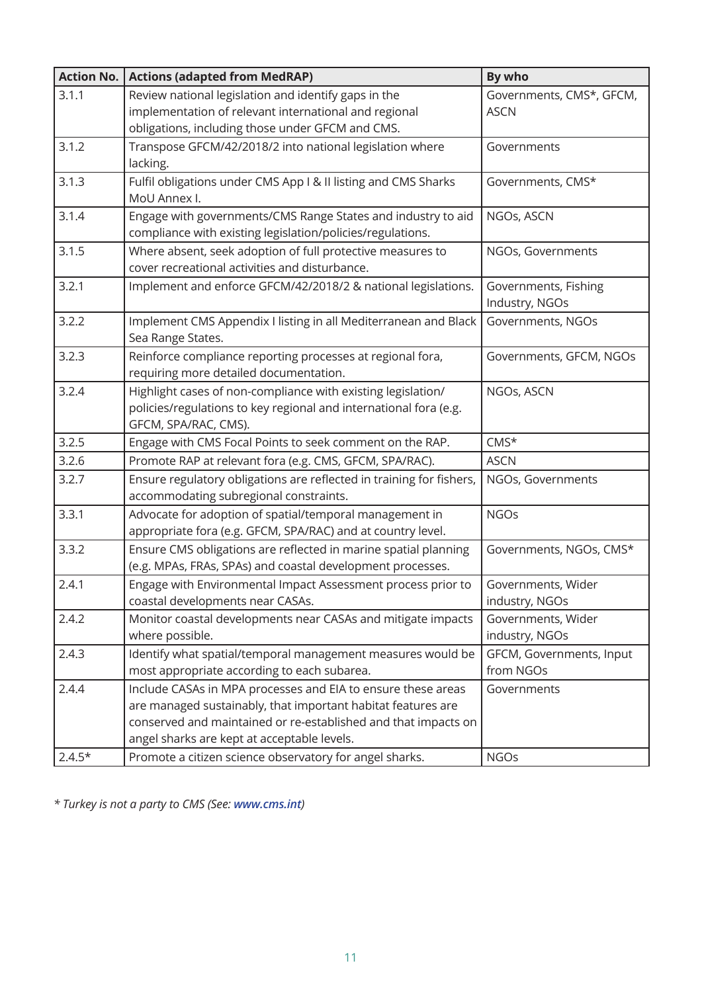| <b>Action No.</b> | <b>Actions (adapted from MedRAP)</b>                                                                                                                                                                                                          | By who                                  |  |  |
|-------------------|-----------------------------------------------------------------------------------------------------------------------------------------------------------------------------------------------------------------------------------------------|-----------------------------------------|--|--|
| 3.1.1             | Review national legislation and identify gaps in the<br>implementation of relevant international and regional<br>obligations, including those under GFCM and CMS.                                                                             | Governments, CMS*, GFCM,<br><b>ASCN</b> |  |  |
| 3.1.2             | Transpose GFCM/42/2018/2 into national legislation where<br>lacking.                                                                                                                                                                          | Governments                             |  |  |
| 3.1.3             | Fulfil obligations under CMS App I & II listing and CMS Sharks<br>MoU Annex I.                                                                                                                                                                | Governments, CMS*                       |  |  |
| 3.1.4             | Engage with governments/CMS Range States and industry to aid<br>compliance with existing legislation/policies/regulations.                                                                                                                    | NGOs, ASCN                              |  |  |
| 3.1.5             | Where absent, seek adoption of full protective measures to<br>cover recreational activities and disturbance.                                                                                                                                  | NGOs, Governments                       |  |  |
| 3.2.1             | Implement and enforce GFCM/42/2018/2 & national legislations.                                                                                                                                                                                 | Governments, Fishing<br>Industry, NGOs  |  |  |
| 3.2.2             | Implement CMS Appendix I listing in all Mediterranean and Black<br>Sea Range States.                                                                                                                                                          | Governments, NGOs                       |  |  |
| 3.2.3             | Reinforce compliance reporting processes at regional fora,<br>requiring more detailed documentation.                                                                                                                                          | Governments, GFCM, NGOs                 |  |  |
| 3.2.4             | Highlight cases of non-compliance with existing legislation/<br>policies/regulations to key regional and international fora (e.g.<br>GFCM, SPA/RAC, CMS).                                                                                     | NGOs, ASCN                              |  |  |
| 3.2.5             | Engage with CMS Focal Points to seek comment on the RAP.                                                                                                                                                                                      | $CMS^*$                                 |  |  |
| 3.2.6             | Promote RAP at relevant fora (e.g. CMS, GFCM, SPA/RAC).                                                                                                                                                                                       | <b>ASCN</b>                             |  |  |
| 3.2.7             | Ensure regulatory obligations are reflected in training for fishers,<br>accommodating subregional constraints.                                                                                                                                | NGOs, Governments                       |  |  |
| 3.3.1             | Advocate for adoption of spatial/temporal management in<br>appropriate fora (e.g. GFCM, SPA/RAC) and at country level.                                                                                                                        | <b>NGOs</b>                             |  |  |
| 3.3.2             | Ensure CMS obligations are reflected in marine spatial planning<br>(e.g. MPAs, FRAs, SPAs) and coastal development processes.                                                                                                                 | Governments, NGOs, CMS*                 |  |  |
| 2.4.1             | Engage with Environmental Impact Assessment process prior to<br>coastal developments near CASAs.                                                                                                                                              | Governments, Wider<br>industry, NGOs    |  |  |
| 2.4.2             | Monitor coastal developments near CASAs and mitigate impacts<br>where possible.                                                                                                                                                               | Governments, Wider<br>industry, NGOs    |  |  |
| 2.4.3             | Identify what spatial/temporal management measures would be<br>most appropriate according to each subarea.                                                                                                                                    | GFCM, Governments, Input<br>from NGOs   |  |  |
| 2.4.4<br>$2.4.5*$ | Include CASAs in MPA processes and EIA to ensure these areas<br>are managed sustainably, that important habitat features are<br>conserved and maintained or re-established and that impacts on<br>angel sharks are kept at acceptable levels. | Governments<br><b>NGOs</b>              |  |  |
|                   | Promote a citizen science observatory for angel sharks.                                                                                                                                                                                       |                                         |  |  |

*\* Turkey is not a party to CMS (See: [www.cms.int](http://www.cms.int))*